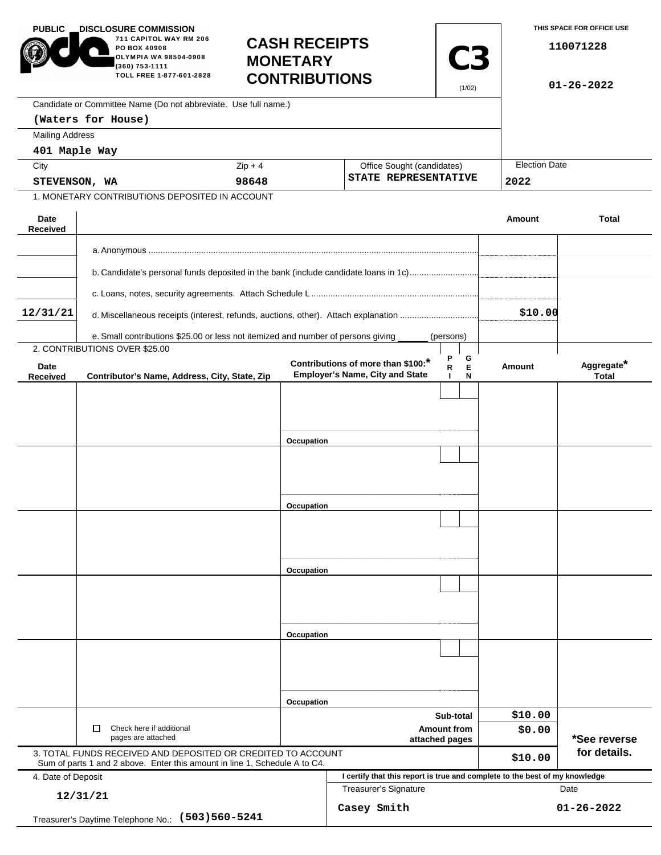| <b>PUBLIC</b>                                                                      | <b>DISCLOSURE COMMISSION</b><br>711 CAPITOL WAY RM 206<br>PO BOX 40908<br>OLYMPIA WA 98504-0908<br>(360) 753-1111<br>TOLL FREE 1-877-601-2828 | <b>CASH RECEIPTS</b><br><b>MONETARY</b><br><b>CONTRIBUTIONS</b> |                                                                             | <b>C3</b><br>(1/02)                                |         | THIS SPACE FOR OFFICE USE<br>110071228<br>$01 - 26 - 2022$ |  |
|------------------------------------------------------------------------------------|-----------------------------------------------------------------------------------------------------------------------------------------------|-----------------------------------------------------------------|-----------------------------------------------------------------------------|----------------------------------------------------|---------|------------------------------------------------------------|--|
|                                                                                    | Candidate or Committee Name (Do not abbreviate. Use full name.)                                                                               |                                                                 |                                                                             |                                                    |         |                                                            |  |
|                                                                                    | (Waters for House)                                                                                                                            |                                                                 |                                                                             |                                                    |         |                                                            |  |
| <b>Mailing Address</b>                                                             |                                                                                                                                               |                                                                 |                                                                             |                                                    |         |                                                            |  |
| 401 Maple Way                                                                      |                                                                                                                                               |                                                                 |                                                                             |                                                    |         |                                                            |  |
| City                                                                               |                                                                                                                                               | $Zip + 4$                                                       |                                                                             | Office Sought (candidates)<br>STATE REPRESENTATIVE |         | <b>Election Date</b><br>2022                               |  |
| STEVENSON, WA<br>1. MONETARY CONTRIBUTIONS DEPOSITED IN ACCOUNT                    |                                                                                                                                               | 98648                                                           |                                                                             |                                                    |         |                                                            |  |
|                                                                                    |                                                                                                                                               |                                                                 |                                                                             |                                                    |         |                                                            |  |
| Date<br>Received                                                                   |                                                                                                                                               |                                                                 |                                                                             |                                                    | Amount  | <b>Total</b>                                               |  |
|                                                                                    |                                                                                                                                               |                                                                 |                                                                             |                                                    |         |                                                            |  |
|                                                                                    | b. Candidate's personal funds deposited in the bank (include candidate loans in 1c)                                                           |                                                                 |                                                                             |                                                    |         |                                                            |  |
|                                                                                    |                                                                                                                                               |                                                                 |                                                                             |                                                    |         |                                                            |  |
| 12/31/21                                                                           | d. Miscellaneous receipts (interest, refunds, auctions, other). Attach explanation                                                            |                                                                 | \$10.00                                                                     |                                                    |         |                                                            |  |
|                                                                                    |                                                                                                                                               |                                                                 |                                                                             |                                                    |         |                                                            |  |
|                                                                                    | e. Small contributions \$25.00 or less not itemized and number of persons giving<br>2. CONTRIBUTIONS OVER \$25.00                             |                                                                 |                                                                             | (persons)                                          |         |                                                            |  |
| Date                                                                               |                                                                                                                                               |                                                                 | Contributions of more than \$100:*                                          | Ρ<br>G<br>E<br>R                                   | Amount  | Aggregate*                                                 |  |
| Received                                                                           | Contributor's Name, Address, City, State, Zip                                                                                                 |                                                                 | <b>Employer's Name, City and State</b>                                      | N<br>$\mathbf{I}$                                  |         | <b>Total</b>                                               |  |
|                                                                                    |                                                                                                                                               |                                                                 |                                                                             |                                                    |         |                                                            |  |
|                                                                                    |                                                                                                                                               |                                                                 |                                                                             |                                                    |         |                                                            |  |
|                                                                                    |                                                                                                                                               |                                                                 |                                                                             |                                                    |         |                                                            |  |
|                                                                                    |                                                                                                                                               | Occupation                                                      |                                                                             |                                                    |         |                                                            |  |
|                                                                                    |                                                                                                                                               |                                                                 |                                                                             |                                                    |         |                                                            |  |
|                                                                                    |                                                                                                                                               |                                                                 |                                                                             |                                                    |         |                                                            |  |
|                                                                                    |                                                                                                                                               |                                                                 |                                                                             |                                                    |         |                                                            |  |
|                                                                                    |                                                                                                                                               | Occupation                                                      |                                                                             |                                                    |         |                                                            |  |
|                                                                                    |                                                                                                                                               |                                                                 |                                                                             |                                                    |         |                                                            |  |
|                                                                                    |                                                                                                                                               |                                                                 |                                                                             |                                                    |         |                                                            |  |
|                                                                                    |                                                                                                                                               |                                                                 |                                                                             |                                                    |         |                                                            |  |
|                                                                                    |                                                                                                                                               | Occupation                                                      |                                                                             |                                                    |         |                                                            |  |
|                                                                                    |                                                                                                                                               |                                                                 |                                                                             |                                                    |         |                                                            |  |
|                                                                                    |                                                                                                                                               |                                                                 |                                                                             |                                                    |         |                                                            |  |
|                                                                                    |                                                                                                                                               | Occupation                                                      |                                                                             |                                                    |         |                                                            |  |
|                                                                                    |                                                                                                                                               |                                                                 |                                                                             |                                                    |         |                                                            |  |
|                                                                                    |                                                                                                                                               |                                                                 |                                                                             |                                                    |         |                                                            |  |
|                                                                                    |                                                                                                                                               |                                                                 |                                                                             |                                                    |         |                                                            |  |
|                                                                                    |                                                                                                                                               | Occupation                                                      |                                                                             |                                                    |         |                                                            |  |
|                                                                                    |                                                                                                                                               |                                                                 |                                                                             | Sub-total                                          | \$10.00 |                                                            |  |
|                                                                                    | Check here if additional<br>□                                                                                                                 |                                                                 | <b>Amount from</b>                                                          |                                                    | \$0.00  |                                                            |  |
| pages are attached<br>3. TOTAL FUNDS RECEIVED AND DEPOSITED OR CREDITED TO ACCOUNT |                                                                                                                                               |                                                                 | attached pages                                                              |                                                    |         | *See reverse<br>for details.                               |  |
|                                                                                    | Sum of parts 1 and 2 above. Enter this amount in line 1, Schedule A to C4.                                                                    |                                                                 |                                                                             |                                                    | \$10.00 |                                                            |  |
| 4. Date of Deposit                                                                 |                                                                                                                                               |                                                                 | I certify that this report is true and complete to the best of my knowledge |                                                    |         |                                                            |  |
| 12/31/21                                                                           |                                                                                                                                               |                                                                 | <b>Treasurer's Signature</b><br>Date                                        |                                                    |         |                                                            |  |
| Treasurer's Daytime Telephone No.: (503) 560-5241                                  |                                                                                                                                               |                                                                 | Casey Smith<br>$01 - 26 - 2022$                                             |                                                    |         |                                                            |  |
|                                                                                    |                                                                                                                                               |                                                                 |                                                                             |                                                    |         |                                                            |  |